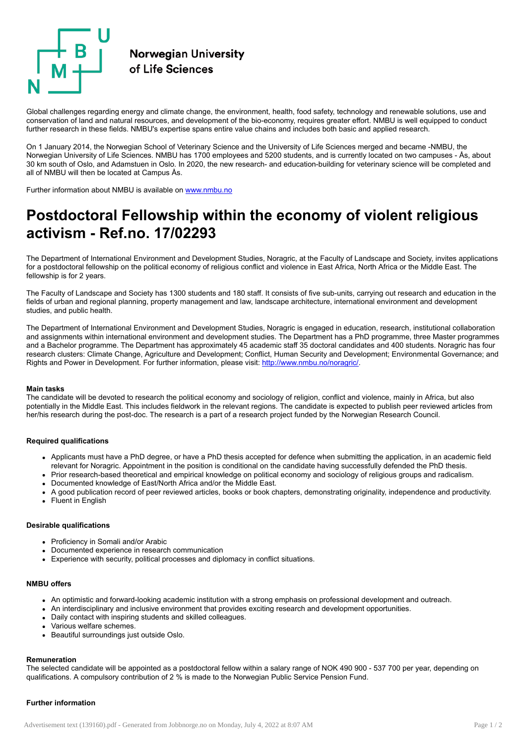

Global challenges regarding energy and climate change, the environment, health, food safety, technology and renewable solutions, use and conservation of land and natural resources, and development of the bio-economy, requires greater effort. NMBU is well equipped to conduct further research in these fields. NMBU's expertise spans entire value chains and includes both basic and applied research.

On 1 January 2014, the Norwegian School of Veterinary Science and the University of Life Sciences merged and became -NMBU, the Norwegian University of Life Sciences. NMBU has 1700 employees and 5200 students, and is currently located on two campuses - Ås, about 30 km south of Oslo, and Adamstuen in Oslo. In 2020, the new research- and education-building for veterinary science will be completed and all of NMBU will then be located at Campus Ås.

Further information about NMBU is available on [www.nmbu.no](http://www.nmbu.no/)

# Postdoctoral Fellowship within the economy of violent religious activism - Ref.no. 17/02293

The Department of International Environment and Development Studies, Noragric, at the Faculty of Landscape and Society, invites applications for a postdoctoral fellowship on the political economy of religious conflict and violence in East Africa, North Africa or the Middle East. The fellowship is for 2 years.

The Faculty of Landscape and Society has 1300 students and 180 staff. It consists of five sub-units, carrying out research and education in the fields of urban and regional planning, property management and law, landscape architecture, international environment and development studies, and public health.

The Department of International Environment and Development Studies, Noragric is engaged in education, research, institutional collaboration and assignments within international environment and development studies. The Department has a PhD programme, three Master programmes and a Bachelor programme. The Department has approximately 45 academic staff 35 doctoral candidates and 400 students. Noragric has four research clusters: Climate Change, Agriculture and Development; Conflict, Human Security and Development; Environmental Governance; and Rights and Power in Development. For further information, please visit: [http://www.nmbu.no/noragric/.](http://www.nmbu.no/noragric/)

### Main tasks

The candidate will be devoted to research the political economy and sociology of religion, conflict and violence, mainly in Africa, but also potentially in the Middle East. This includes fieldwork in the relevant regions. The candidate is expected to publish peer reviewed articles from her/his research during the post-doc. The research is a part of a research project funded by the Norwegian Research Council.

### Required qualifications

- Applicants must have a PhD degree, or have a PhD thesis accepted for defence when submitting the application, in an academic field relevant for Noragric. Appointment in the position is conditional on the candidate having successfully defended the PhD thesis.
- Prior research-based theoretical and empirical knowledge on political economy and sociology of religious groups and radicalism.
- Documented knowledge of East/North Africa and/or the Middle East.
- A good publication record of peer reviewed articles, books or book chapters, demonstrating originality, independence and productivity.
- Fluent in English

## Desirable qualifications

- Proficiency in Somali and/or Arabic
- Documented experience in research communication
- Experience with security, political processes and diplomacy in conflict situations.

# NMBU offers

- An optimistic and forward-looking academic institution with a strong emphasis on professional development and outreach.
- An interdisciplinary and inclusive environment that provides exciting research and development opportunities.
- Daily contact with inspiring students and skilled colleagues.
- Various welfare schemes.
- Beautiful surroundings just outside Oslo.

### Remuneration

The selected candidate will be appointed as a postdoctoral fellow within a salary range of NOK 490 900 - 537 700 per year, depending on qualifications. A compulsory contribution of 2 % is made to the Norwegian Public Service Pension Fund.

## Further information